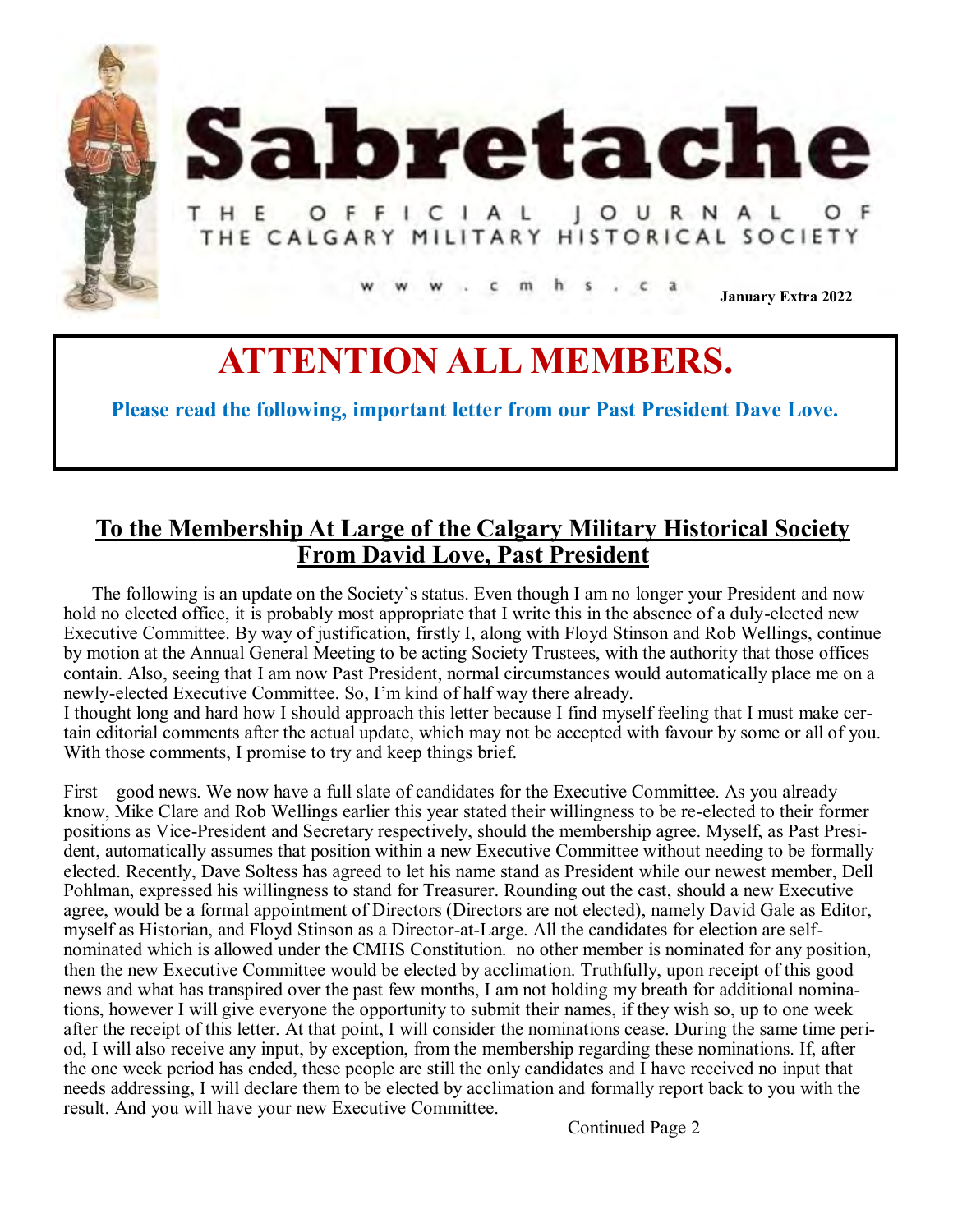



## HE OFFICIAL JOURNAL **THE CALGARY MILITARY HISTORICAL SOCIETY**

**January Extra 2022**

## **ATTENTION ALL MEMBERS.**

**Please read the following, important letter from our Past President Dave Love.** 

## **To the Membership At Large of the Calgary Military Historical Society From David Love, Past President**

The following is an update on the Society's status. Even though I am no longer your President and now hold no elected office, it is probably most appropriate that I write this in the absence of a duly-elected new Executive Committee. By way of justification, firstly I, along with Floyd Stinson and Rob Wellings, continue by motion at the Annual General Meeting to be acting Society Trustees, with the authority that those offices contain. Also, seeing that I am now Past President, normal circumstances would automatically place me on a newly-elected Executive Committee. So, I'm kind of half way there already.

I thought long and hard how I should approach this letter because I find myself feeling that I must make certain editorial comments after the actual update, which may not be accepted with favour by some or all of you. With those comments, I promise to try and keep things brief.

First – good news. We now have a full slate of candidates for the Executive Committee. As you already know, Mike Clare and Rob Wellings earlier this year stated their willingness to be re-elected to their former positions as Vice-President and Secretary respectively, should the membership agree. Myself, as Past President, automatically assumes that position within a new Executive Committee without needing to be formally elected. Recently, Dave Soltess has agreed to let his name stand as President while our newest member, Dell Pohlman, expressed his willingness to stand for Treasurer. Rounding out the cast, should a new Executive agree, would be a formal appointment of Directors (Directors are not elected), namely David Gale as Editor, myself as Historian, and Floyd Stinson as a Director-at-Large. All the candidates for election are selfnominated which is allowed under the CMHS Constitution. no other member is nominated for any position, then the new Executive Committee would be elected by acclimation. Truthfully, upon receipt of this good news and what has transpired over the past few months, I am not holding my breath for additional nominations, however I will give everyone the opportunity to submit their names, if they wish so, up to one week after the receipt of this letter. At that point, I will consider the nominations cease. During the same time period, I will also receive any input, by exception, from the membership regarding these nominations. If, after the one week period has ended, these people are still the only candidates and I have received no input that needs addressing, I will declare them to be elected by acclimation and formally report back to you with the result. And you will have your new Executive Committee.

Continued Page 2